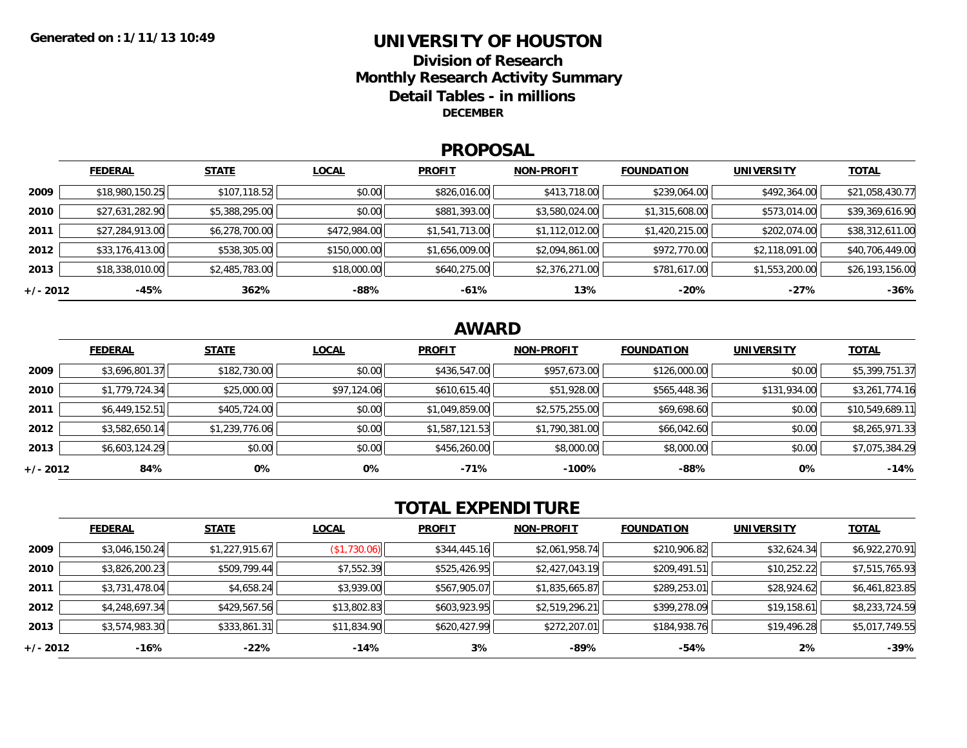### **UNIVERSITY OF HOUSTONDivision of ResearchMonthly Research Activity Summary Detail Tables - in millions DECEMBER**

#### **PROPOSAL**

|            | <b>FEDERAL</b>  | <b>STATE</b>   | <b>LOCAL</b> | <b>PROFIT</b>  | <b>NON-PROFIT</b> | <b>FOUNDATION</b> | UNIVERSITY     | <u>TOTAL</u>    |
|------------|-----------------|----------------|--------------|----------------|-------------------|-------------------|----------------|-----------------|
| 2009       | \$18,980,150.25 | \$107,118.52   | \$0.00       | \$826,016.00   | \$413,718.00      | \$239,064.00      | \$492,364.00   | \$21,058,430.77 |
| 2010       | \$27,631,282.90 | \$5,388,295.00 | \$0.00       | \$881,393.00   | \$3,580,024.00    | \$1,315,608.00    | \$573,014.00   | \$39,369,616.90 |
| 2011       | \$27,284,913.00 | \$6,278,700.00 | \$472,984.00 | \$1,541,713.00 | \$1,112,012.00    | \$1,420,215.00    | \$202,074.00   | \$38,312,611.00 |
| 2012       | \$33,176,413.00 | \$538,305.00   | \$150,000.00 | \$1,656,009.00 | \$2,094,861.00    | \$972,770.00      | \$2,118,091.00 | \$40,706,449.00 |
| 2013       | \$18,338,010.00 | \$2,485,783.00 | \$18,000.00  | \$640,275.00   | \$2,376,271.00    | \$781,617.00      | \$1,553,200.00 | \$26,193,156.00 |
| $+/- 2012$ | $-45%$          | 362%           | -88%         | $-61%$         | 13%               | $-20%$            | $-27%$         | $-36%$          |

## **AWARD**

|          | <b>FEDERAL</b> | <b>STATE</b>   | <b>LOCAL</b> | <b>PROFIT</b>  | <b>NON-PROFIT</b> | <b>FOUNDATION</b> | <b>UNIVERSITY</b> | <b>TOTAL</b>    |
|----------|----------------|----------------|--------------|----------------|-------------------|-------------------|-------------------|-----------------|
| 2009     | \$3,696,801.37 | \$182,730.00   | \$0.00       | \$436,547.00   | \$957,673.00      | \$126,000.00      | \$0.00            | \$5,399,751.37  |
| 2010     | \$1,779,724.34 | \$25,000.00    | \$97,124.06  | \$610,615.40   | \$51,928.00       | \$565,448.36      | \$131,934.00      | \$3,261,774.16  |
| 2011     | \$6,449,152.51 | \$405,724.00   | \$0.00       | \$1,049,859.00 | \$2,575,255.00    | \$69,698.60       | \$0.00            | \$10,549,689.11 |
| 2012     | \$3,582,650.14 | \$1,239,776.06 | \$0.00       | \$1,587,121.53 | \$1,790,381.00    | \$66,042.60       | \$0.00            | \$8,265,971.33  |
| 2013     | \$6,603,124.29 | \$0.00         | \$0.00       | \$456,260.00   | \$8,000.00        | \$8,000.00        | \$0.00            | \$7,075,384.29  |
| +/- 2012 | 84%            | 0%             | 0%           | $-71%$         | $-100%$           | $-88%$            | 0%                | $-14%$          |

# **TOTAL EXPENDITURE**

|          | <b>FEDERAL</b> | <b>STATE</b>   | <b>LOCAL</b>            | <b>PROFIT</b> | <b>NON-PROFIT</b> | <b>FOUNDATION</b> | <b>UNIVERSITY</b> | <u>TOTAL</u>   |
|----------|----------------|----------------|-------------------------|---------------|-------------------|-------------------|-------------------|----------------|
| 2009     | \$3,046,150.24 | \$1,227,915.67 | $($ \$1,730.06) $\vert$ | \$344,445.16  | \$2,061,958.74    | \$210,906.82      | \$32,624.34       | \$6,922,270.91 |
| 2010     | \$3,826,200.23 | \$509,799.44   | \$7,552.39              | \$525,426.95  | \$2,427,043.19    | \$209,491.51      | \$10,252.22       | \$7,515,765.93 |
| 2011     | \$3,731,478.04 | \$4,658.24     | \$3,939.00              | \$567,905.07  | \$1,835,665.87    | \$289,253.01      | \$28,924.62       | \$6,461,823.85 |
| 2012     | \$4,248,697.34 | \$429,567.56   | \$13,802.83             | \$603,923.95  | \$2,519,296.21    | \$399,278.09      | \$19,158.61       | \$8,233,724.59 |
| 2013     | \$3,574,983.30 | \$333,861.31   | \$11,834.90             | \$620,427.99  | \$272,207.01      | \$184,938.76      | \$19,496.28       | \$5,017,749.55 |
| +/- 2012 | -16%           | $-22\%$        | $-14%$                  | 3%            | $-89%$            | -54%              | 2%                | $-39%$         |